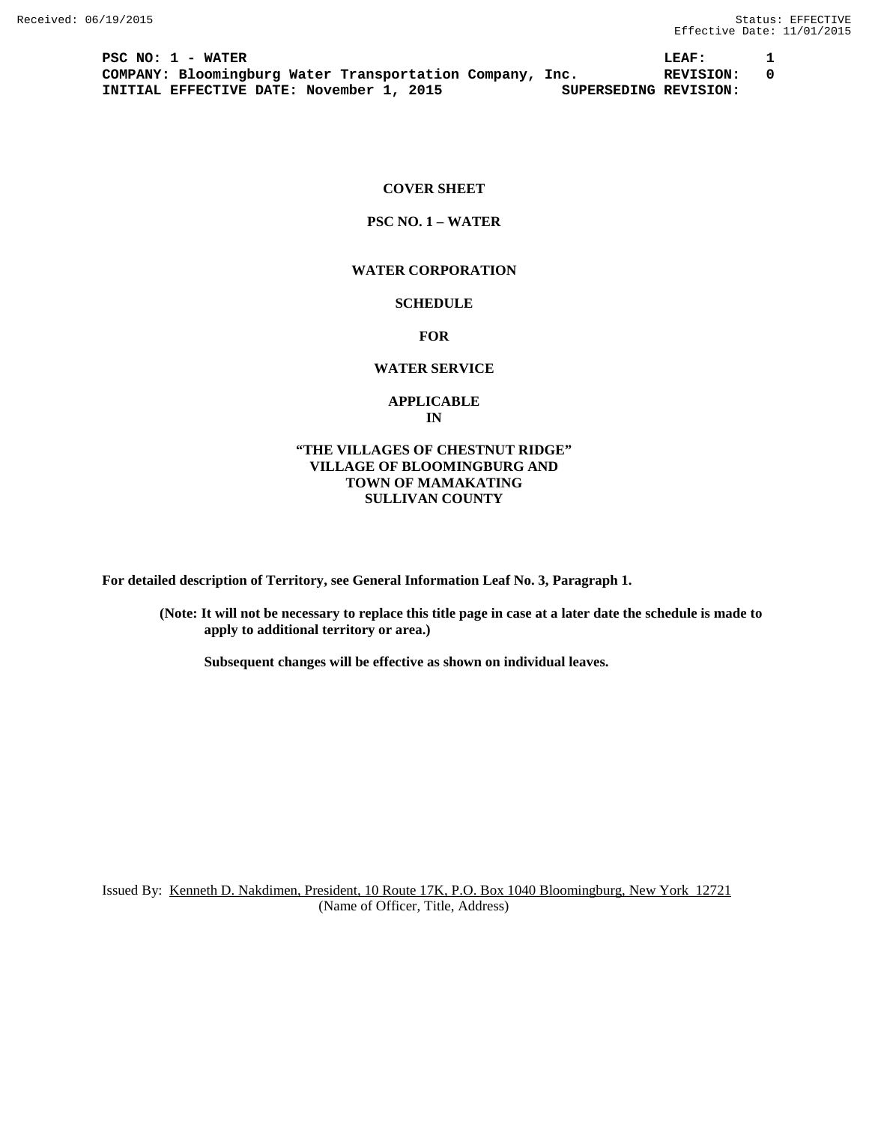**PSC NO: 1 - WATER LEAF: 1 COMPANY: Bloomingburg Water Transportation Company, Inc. REVISION: 0 INITIAL EFFECTIVE DATE: November 1, 2015** 

# **COVER SHEET**

# **PSC NO. 1 – WATER**

### **WATER CORPORATION**

# **SCHEDULE**

**FOR**

### **WATER SERVICE**

### **APPLICABLE IN**

# **"THE VILLAGES OF CHESTNUT RIDGE" VILLAGE OF BLOOMINGBURG AND TOWN OF MAMAKATING SULLIVAN COUNTY**

**For detailed description of Territory, see General Information Leaf No. 3, Paragraph 1.**

**(Note: It will not be necessary to replace this title page in case at a later date the schedule is made to apply to additional territory or area.)**

**Subsequent changes will be effective as shown on individual leaves.**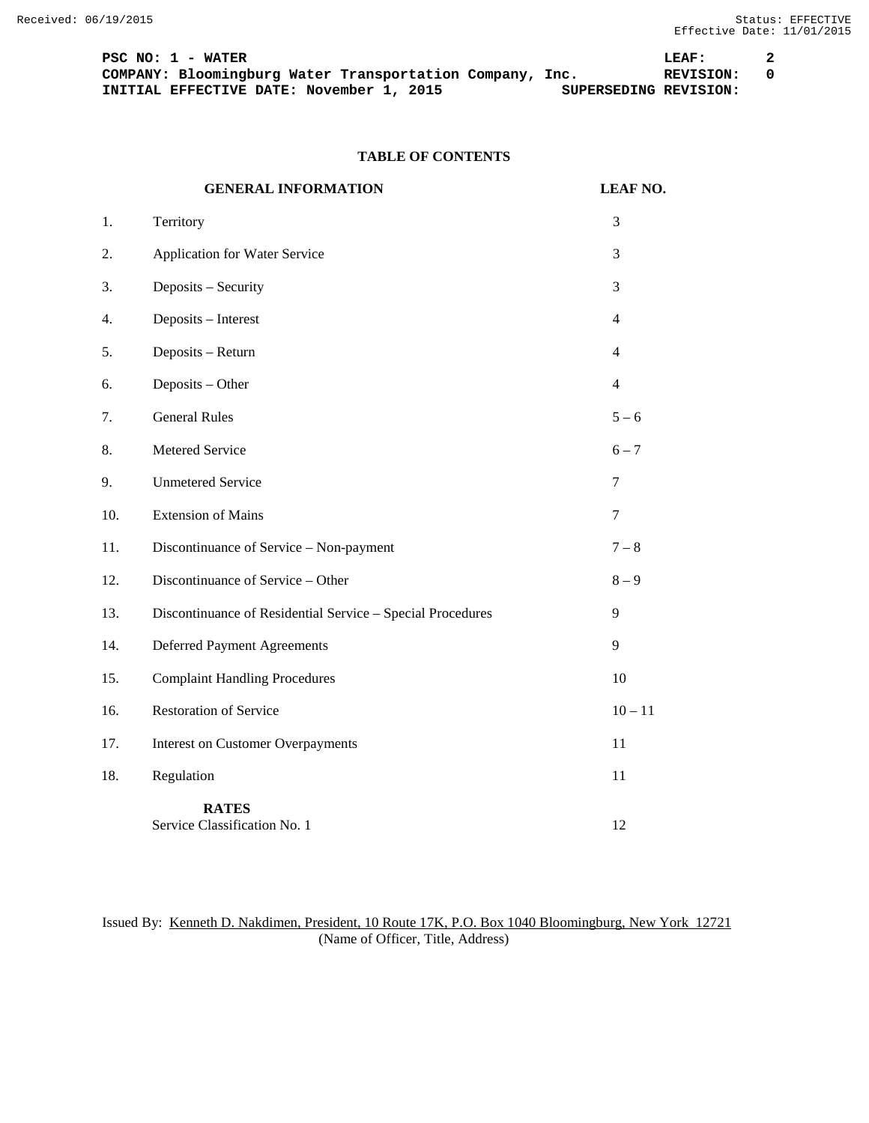PSC NO: 1 - WATER 100 DEAF: 2<br>
COMPANY: Bloomingburg Water Transportation Company, Inc. 1980 REVISION: 0 **COMPANY: Bloomingburg Water Transportation Company, Inc. REVISION:**<br>INITIAL EFFECTIVE DATE: November 1, 2015 SUPERSEDING REVISION: **INITIAL EFFECTIVE DATE: November 1, 2015** 

# **TABLE OF CONTENTS**

|     | <b>GENERAL INFORMATION</b>                                 | <b>LEAF NO.</b> |
|-----|------------------------------------------------------------|-----------------|
| 1.  | Territory                                                  | 3               |
| 2.  | Application for Water Service                              | 3               |
| 3.  | Deposits - Security                                        | 3               |
| 4.  | Deposits - Interest                                        | $\overline{4}$  |
| 5.  | Deposits - Return                                          | $\overline{4}$  |
| 6.  | Deposits - Other                                           | $\overline{4}$  |
| 7.  | <b>General Rules</b>                                       | $5 - 6$         |
| 8.  | Metered Service                                            | $6 - 7$         |
| 9.  | <b>Unmetered Service</b>                                   | $\tau$          |
| 10. | <b>Extension of Mains</b>                                  | $\tau$          |
| 11. | Discontinuance of Service - Non-payment                    | $7 - 8$         |
| 12. | Discontinuance of Service - Other                          | $8-9$           |
| 13. | Discontinuance of Residential Service - Special Procedures | 9               |
| 14. | <b>Deferred Payment Agreements</b>                         | 9               |
| 15. | <b>Complaint Handling Procedures</b>                       | 10              |
| 16. | <b>Restoration of Service</b>                              | $10 - 11$       |
| 17. | <b>Interest on Customer Overpayments</b>                   | 11              |
| 18. | Regulation                                                 | 11              |
|     | <b>RATES</b><br>Service Classification No. 1               | 12              |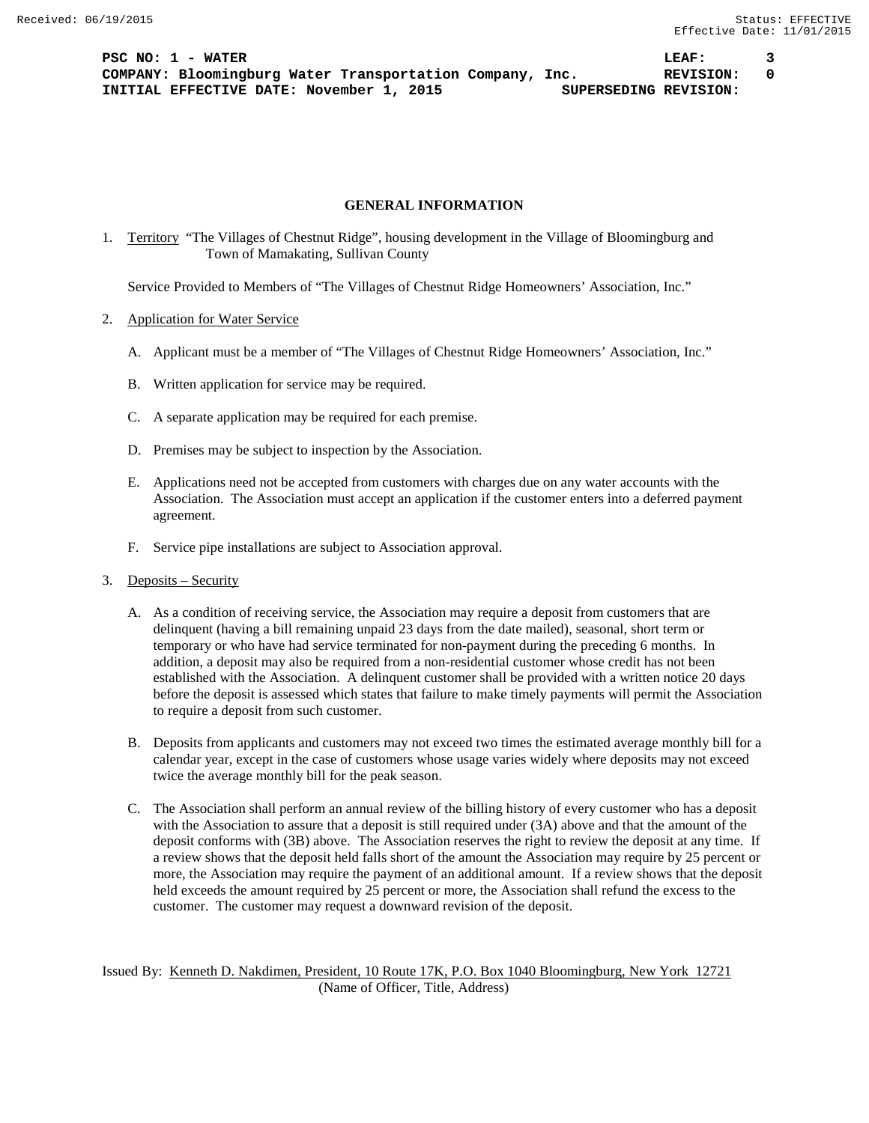**PSC NO: 1 - WATER LEAF: 3 COMPANY: Bloomingburg Water Transportation Company, Inc. REVISION: 0 INITIAL EFFECTIVE DATE: November 1, 2015 SUPERSEDING REVISION:**

## **GENERAL INFORMATION**

1. Territory "The Villages of Chestnut Ridge", housing development in the Village of Bloomingburg and Town of Mamakating, Sullivan County

Service Provided to Members of "The Villages of Chestnut Ridge Homeowners' Association, Inc."

- 2. Application for Water Service
	- A. Applicant must be a member of "The Villages of Chestnut Ridge Homeowners' Association, Inc."
	- B. Written application for service may be required.
	- C. A separate application may be required for each premise.
	- D. Premises may be subject to inspection by the Association.
	- E. Applications need not be accepted from customers with charges due on any water accounts with the Association. The Association must accept an application if the customer enters into a deferred payment agreement.
	- F. Service pipe installations are subject to Association approval.
- 3. Deposits Security
	- A. As a condition of receiving service, the Association may require a deposit from customers that are delinquent (having a bill remaining unpaid 23 days from the date mailed), seasonal, short term or temporary or who have had service terminated for non-payment during the preceding 6 months. In addition, a deposit may also be required from a non-residential customer whose credit has not been established with the Association. A delinquent customer shall be provided with a written notice 20 days before the deposit is assessed which states that failure to make timely payments will permit the Association to require a deposit from such customer.
	- B. Deposits from applicants and customers may not exceed two times the estimated average monthly bill for a calendar year, except in the case of customers whose usage varies widely where deposits may not exceed twice the average monthly bill for the peak season.
	- C. The Association shall perform an annual review of the billing history of every customer who has a deposit with the Association to assure that a deposit is still required under (3A) above and that the amount of the deposit conforms with (3B) above. The Association reserves the right to review the deposit at any time. If a review shows that the deposit held falls short of the amount the Association may require by 25 percent or more, the Association may require the payment of an additional amount. If a review shows that the deposit held exceeds the amount required by 25 percent or more, the Association shall refund the excess to the customer. The customer may request a downward revision of the deposit.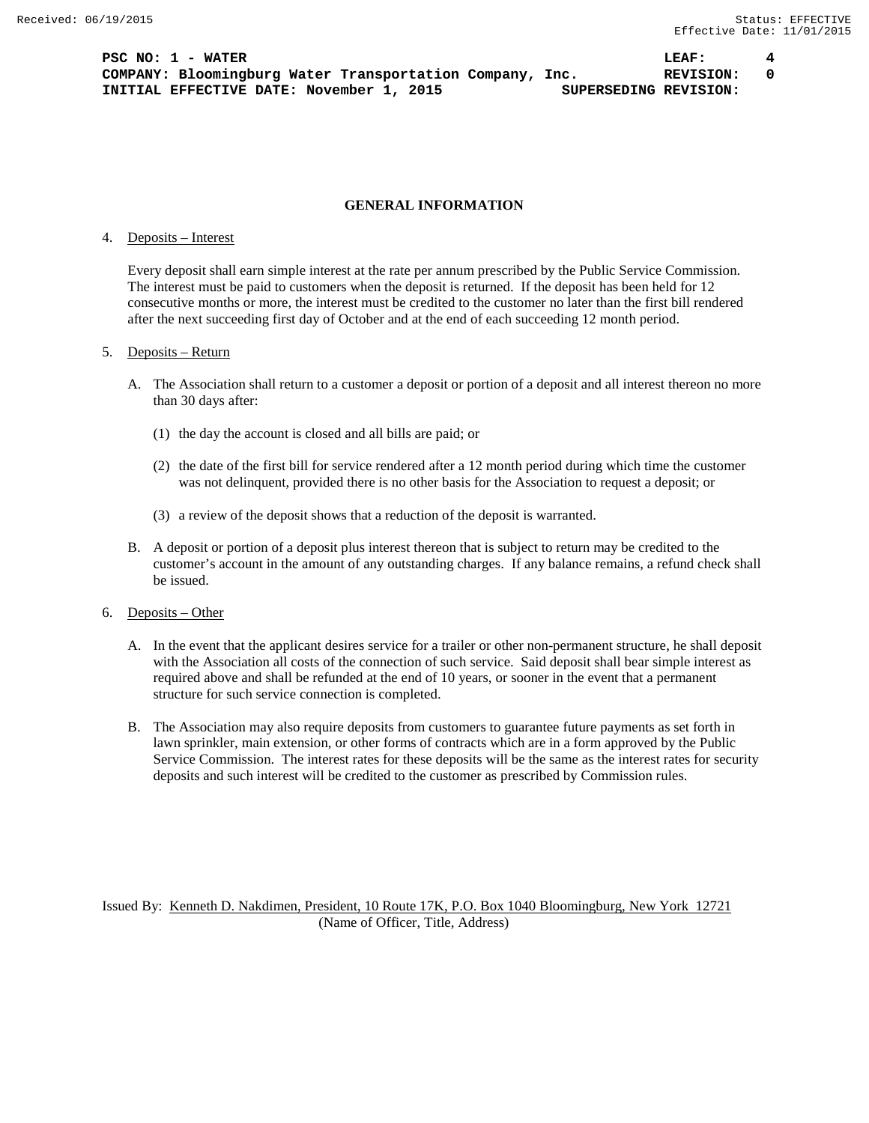**PSC NO: 1 - WATER LEAF: 4 COMPANY: Bloomingburg Water Transportation Company, Inc. REVISION: 0 INITIAL EFFECTIVE DATE: November 1, 2015 SUPERSEDING REVISION:**

#### **GENERAL INFORMATION**

### 4. Deposits – Interest

Every deposit shall earn simple interest at the rate per annum prescribed by the Public Service Commission. The interest must be paid to customers when the deposit is returned. If the deposit has been held for 12 consecutive months or more, the interest must be credited to the customer no later than the first bill rendered after the next succeeding first day of October and at the end of each succeeding 12 month period.

#### 5. Deposits – Return

- A. The Association shall return to a customer a deposit or portion of a deposit and all interest thereon no more than 30 days after:
	- (1) the day the account is closed and all bills are paid; or
	- (2) the date of the first bill for service rendered after a 12 month period during which time the customer was not delinquent, provided there is no other basis for the Association to request a deposit; or
	- (3) a review of the deposit shows that a reduction of the deposit is warranted.
- B. A deposit or portion of a deposit plus interest thereon that is subject to return may be credited to the customer's account in the amount of any outstanding charges. If any balance remains, a refund check shall be issued.

#### 6. Deposits – Other

- A. In the event that the applicant desires service for a trailer or other non-permanent structure, he shall deposit with the Association all costs of the connection of such service. Said deposit shall bear simple interest as required above and shall be refunded at the end of 10 years, or sooner in the event that a permanent structure for such service connection is completed.
- B. The Association may also require deposits from customers to guarantee future payments as set forth in lawn sprinkler, main extension, or other forms of contracts which are in a form approved by the Public Service Commission. The interest rates for these deposits will be the same as the interest rates for security deposits and such interest will be credited to the customer as prescribed by Commission rules.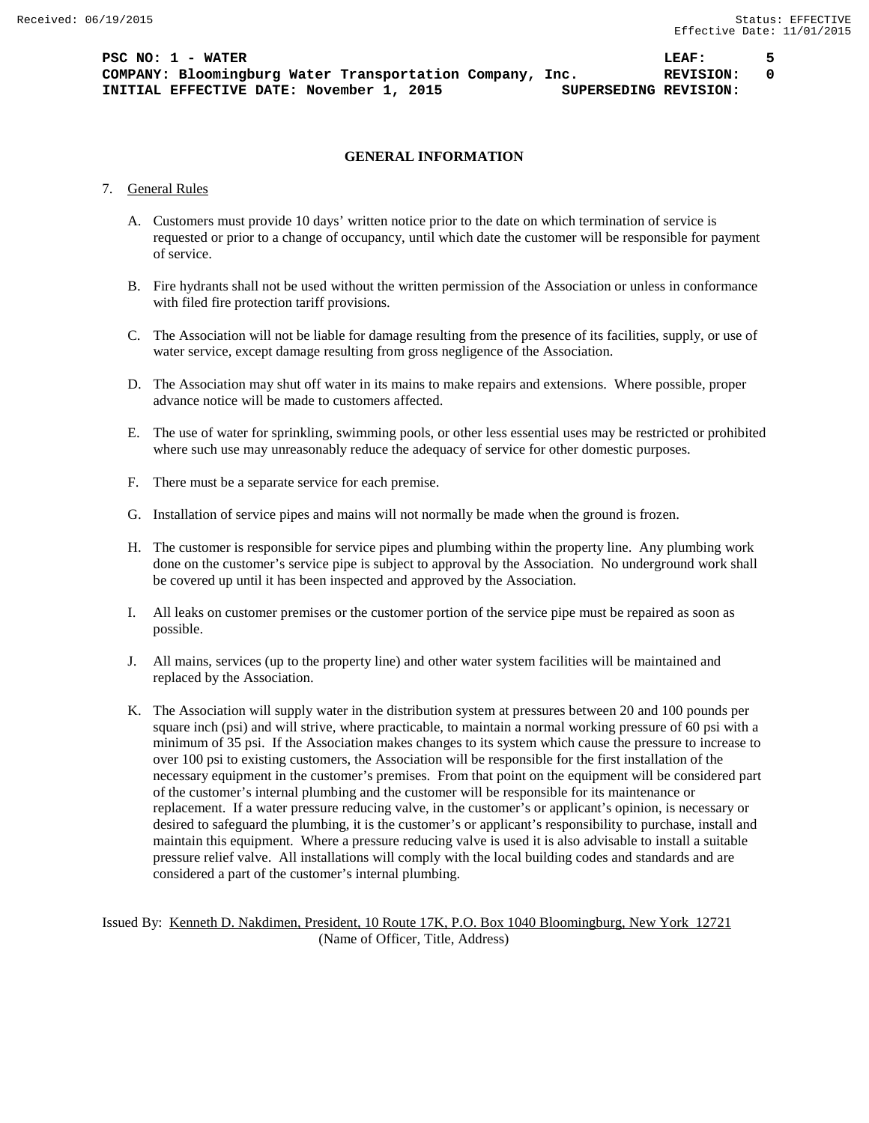# **GENERAL INFORMATION**

# 7. General Rules

- A. Customers must provide 10 days' written notice prior to the date on which termination of service is requested or prior to a change of occupancy, until which date the customer will be responsible for payment of service.
- B. Fire hydrants shall not be used without the written permission of the Association or unless in conformance with filed fire protection tariff provisions.
- C. The Association will not be liable for damage resulting from the presence of its facilities, supply, or use of water service, except damage resulting from gross negligence of the Association.
- D. The Association may shut off water in its mains to make repairs and extensions. Where possible, proper advance notice will be made to customers affected.
- E. The use of water for sprinkling, swimming pools, or other less essential uses may be restricted or prohibited where such use may unreasonably reduce the adequacy of service for other domestic purposes.
- F. There must be a separate service for each premise.
- G. Installation of service pipes and mains will not normally be made when the ground is frozen.
- H. The customer is responsible for service pipes and plumbing within the property line. Any plumbing work done on the customer's service pipe is subject to approval by the Association. No underground work shall be covered up until it has been inspected and approved by the Association.
- I. All leaks on customer premises or the customer portion of the service pipe must be repaired as soon as possible.
- J. All mains, services (up to the property line) and other water system facilities will be maintained and replaced by the Association.
- K. The Association will supply water in the distribution system at pressures between 20 and 100 pounds per square inch (psi) and will strive, where practicable, to maintain a normal working pressure of 60 psi with a minimum of 35 psi. If the Association makes changes to its system which cause the pressure to increase to over 100 psi to existing customers, the Association will be responsible for the first installation of the necessary equipment in the customer's premises. From that point on the equipment will be considered part of the customer's internal plumbing and the customer will be responsible for its maintenance or replacement. If a water pressure reducing valve, in the customer's or applicant's opinion, is necessary or desired to safeguard the plumbing, it is the customer's or applicant's responsibility to purchase, install and maintain this equipment. Where a pressure reducing valve is used it is also advisable to install a suitable pressure relief valve. All installations will comply with the local building codes and standards and are considered a part of the customer's internal plumbing.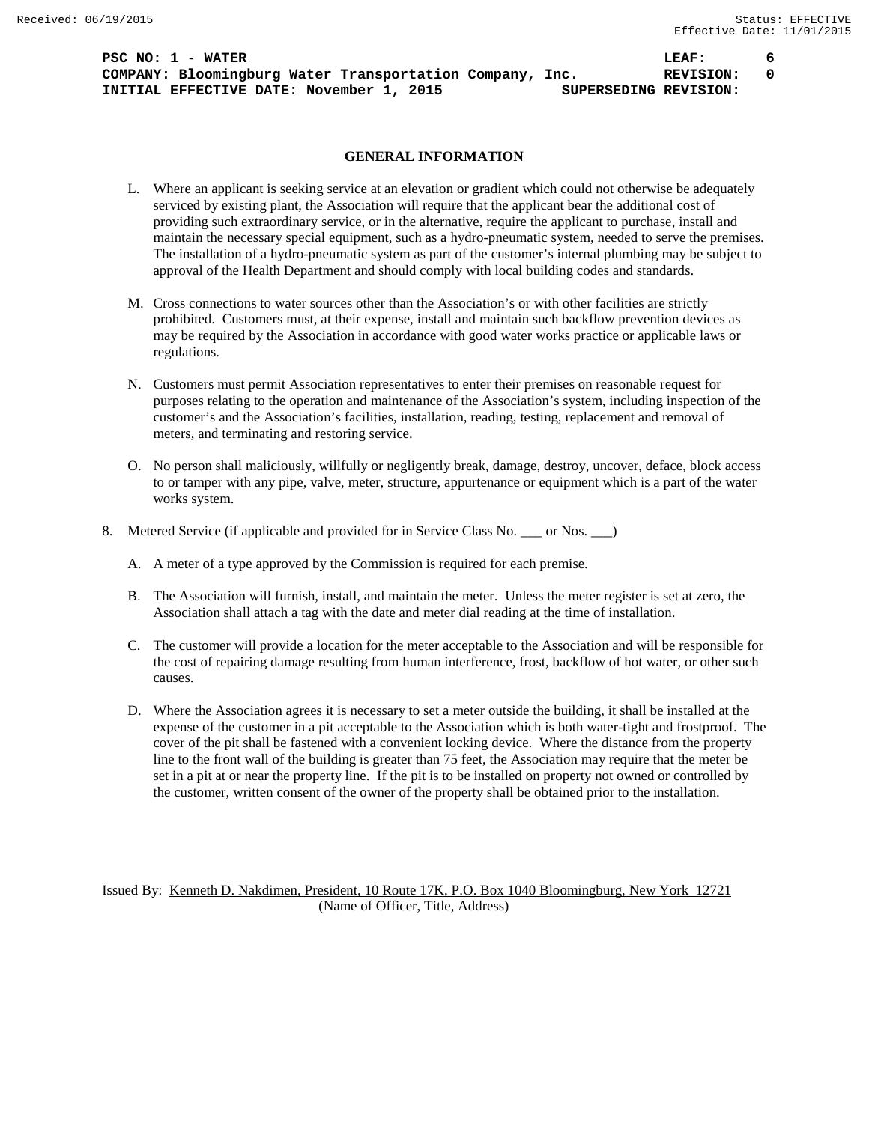**PSC NO: 1 - WATER LEAF: 6 COMPANY: Bloomingburg Water Transportation Company, Inc. REVISION: 0 INITIAL EFFECTIVE DATE: November 1, 2015 SUPERSEDING REVISION:**

# **GENERAL INFORMATION**

- L. Where an applicant is seeking service at an elevation or gradient which could not otherwise be adequately serviced by existing plant, the Association will require that the applicant bear the additional cost of providing such extraordinary service, or in the alternative, require the applicant to purchase, install and maintain the necessary special equipment, such as a hydro-pneumatic system, needed to serve the premises. The installation of a hydro-pneumatic system as part of the customer's internal plumbing may be subject to approval of the Health Department and should comply with local building codes and standards.
- M. Cross connections to water sources other than the Association's or with other facilities are strictly prohibited. Customers must, at their expense, install and maintain such backflow prevention devices as may be required by the Association in accordance with good water works practice or applicable laws or regulations.
- N. Customers must permit Association representatives to enter their premises on reasonable request for purposes relating to the operation and maintenance of the Association's system, including inspection of the customer's and the Association's facilities, installation, reading, testing, replacement and removal of meters, and terminating and restoring service.
- O. No person shall maliciously, willfully or negligently break, damage, destroy, uncover, deface, block access to or tamper with any pipe, valve, meter, structure, appurtenance or equipment which is a part of the water works system.
- 8. Metered Service (if applicable and provided for in Service Class No. \_\_\_ or Nos. \_\_)
	- A. A meter of a type approved by the Commission is required for each premise.
	- B. The Association will furnish, install, and maintain the meter. Unless the meter register is set at zero, the Association shall attach a tag with the date and meter dial reading at the time of installation.
	- C. The customer will provide a location for the meter acceptable to the Association and will be responsible for the cost of repairing damage resulting from human interference, frost, backflow of hot water, or other such causes.
	- D. Where the Association agrees it is necessary to set a meter outside the building, it shall be installed at the expense of the customer in a pit acceptable to the Association which is both water-tight and frostproof. The cover of the pit shall be fastened with a convenient locking device. Where the distance from the property line to the front wall of the building is greater than 75 feet, the Association may require that the meter be set in a pit at or near the property line. If the pit is to be installed on property not owned or controlled by the customer, written consent of the owner of the property shall be obtained prior to the installation.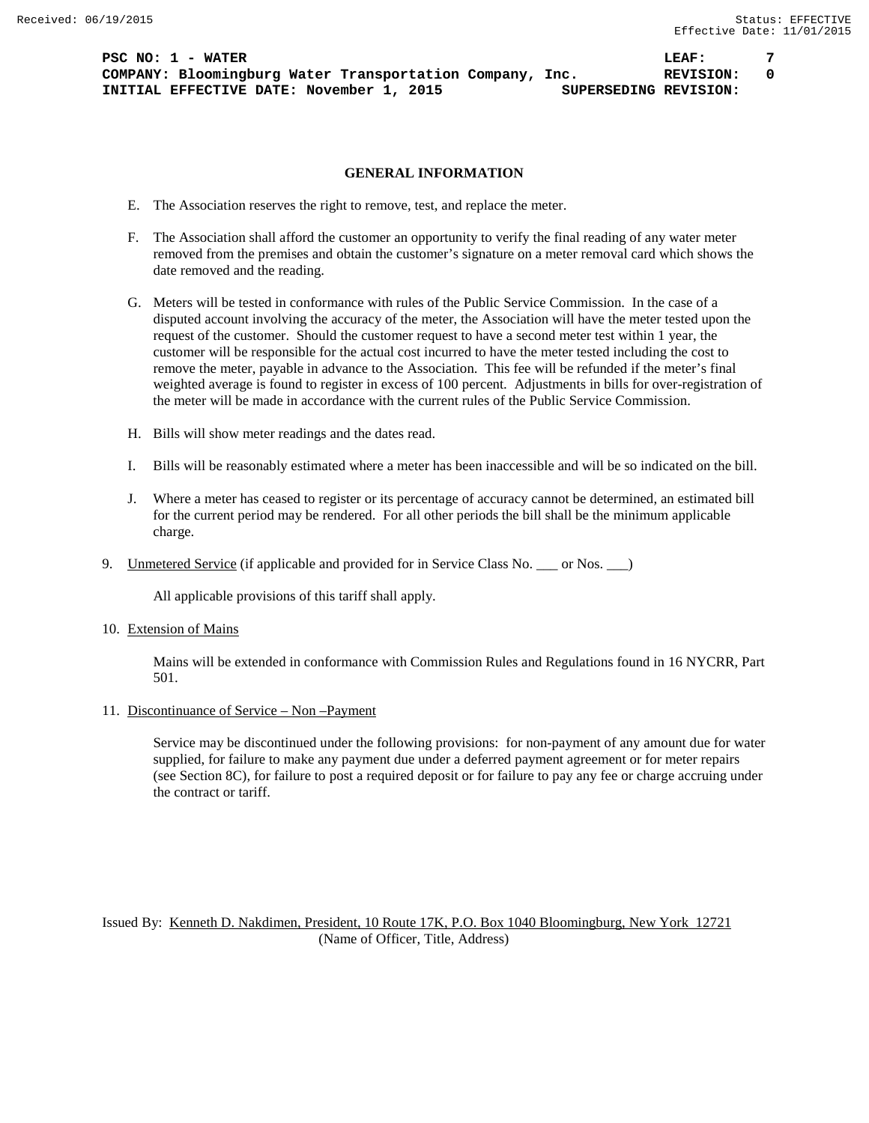**PSC NO: 1 - WATER LEAF: 7 COMPANY: Bloomingburg Water Transportation Company, Inc. REVISION: 0 INITIAL EFFECTIVE DATE: November 1, 2015 SUPERSEDING REVISION:**

### **GENERAL INFORMATION**

- E. The Association reserves the right to remove, test, and replace the meter.
- F. The Association shall afford the customer an opportunity to verify the final reading of any water meter removed from the premises and obtain the customer's signature on a meter removal card which shows the date removed and the reading.
- G. Meters will be tested in conformance with rules of the Public Service Commission. In the case of a disputed account involving the accuracy of the meter, the Association will have the meter tested upon the request of the customer. Should the customer request to have a second meter test within 1 year, the customer will be responsible for the actual cost incurred to have the meter tested including the cost to remove the meter, payable in advance to the Association. This fee will be refunded if the meter's final weighted average is found to register in excess of 100 percent. Adjustments in bills for over-registration of the meter will be made in accordance with the current rules of the Public Service Commission.
- H. Bills will show meter readings and the dates read.
- I. Bills will be reasonably estimated where a meter has been inaccessible and will be so indicated on the bill.
- J. Where a meter has ceased to register or its percentage of accuracy cannot be determined, an estimated bill for the current period may be rendered. For all other periods the bill shall be the minimum applicable charge.
- 9. Unmetered Service (if applicable and provided for in Service Class No. \_\_\_ or Nos. \_\_\_)

All applicable provisions of this tariff shall apply.

10. Extension of Mains

Mains will be extended in conformance with Commission Rules and Regulations found in 16 NYCRR, Part 501.

11. Discontinuance of Service – Non –Payment

Service may be discontinued under the following provisions: for non-payment of any amount due for water supplied, for failure to make any payment due under a deferred payment agreement or for meter repairs (see Section 8C), for failure to post a required deposit or for failure to pay any fee or charge accruing under the contract or tariff.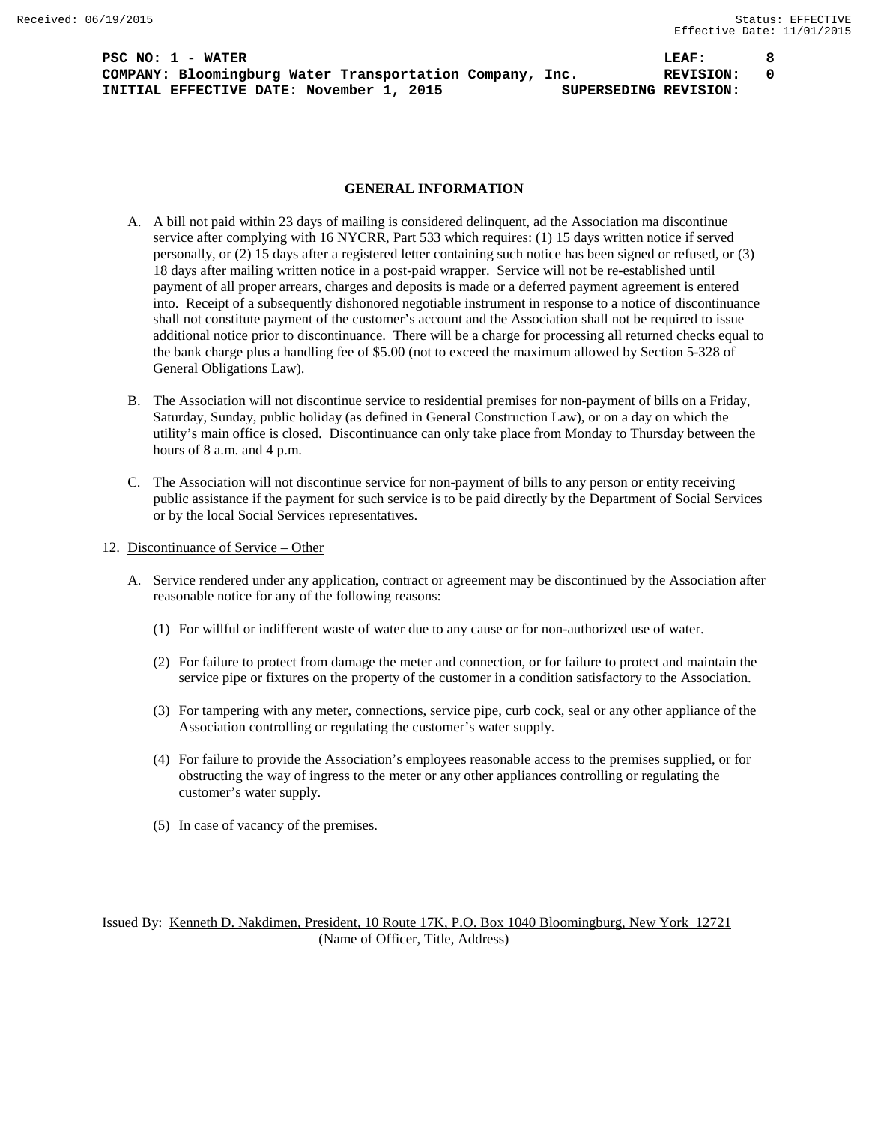**PSC NO: 1 - WATER LEAF: 8 COMPANY: Bloomingburg Water Transportation Company, Inc. REVISION: 0 INITIAL EFFECTIVE DATE: November 1, 2015 SUPERSEDING REVISION:**

#### **GENERAL INFORMATION**

- A. A bill not paid within 23 days of mailing is considered delinquent, ad the Association ma discontinue service after complying with 16 NYCRR, Part 533 which requires: (1) 15 days written notice if served personally, or (2) 15 days after a registered letter containing such notice has been signed or refused, or (3) 18 days after mailing written notice in a post-paid wrapper. Service will not be re-established until payment of all proper arrears, charges and deposits is made or a deferred payment agreement is entered into. Receipt of a subsequently dishonored negotiable instrument in response to a notice of discontinuance shall not constitute payment of the customer's account and the Association shall not be required to issue additional notice prior to discontinuance. There will be a charge for processing all returned checks equal to the bank charge plus a handling fee of \$5.00 (not to exceed the maximum allowed by Section 5-328 of General Obligations Law).
- B. The Association will not discontinue service to residential premises for non-payment of bills on a Friday, Saturday, Sunday, public holiday (as defined in General Construction Law), or on a day on which the utility's main office is closed. Discontinuance can only take place from Monday to Thursday between the hours of 8 a.m. and 4 p.m.
- C. The Association will not discontinue service for non-payment of bills to any person or entity receiving public assistance if the payment for such service is to be paid directly by the Department of Social Services or by the local Social Services representatives.
- 12. Discontinuance of Service Other
	- A. Service rendered under any application, contract or agreement may be discontinued by the Association after reasonable notice for any of the following reasons:
		- (1) For willful or indifferent waste of water due to any cause or for non-authorized use of water.
		- (2) For failure to protect from damage the meter and connection, or for failure to protect and maintain the service pipe or fixtures on the property of the customer in a condition satisfactory to the Association.
		- (3) For tampering with any meter, connections, service pipe, curb cock, seal or any other appliance of the Association controlling or regulating the customer's water supply.
		- (4) For failure to provide the Association's employees reasonable access to the premises supplied, or for obstructing the way of ingress to the meter or any other appliances controlling or regulating the customer's water supply.
		- (5) In case of vacancy of the premises.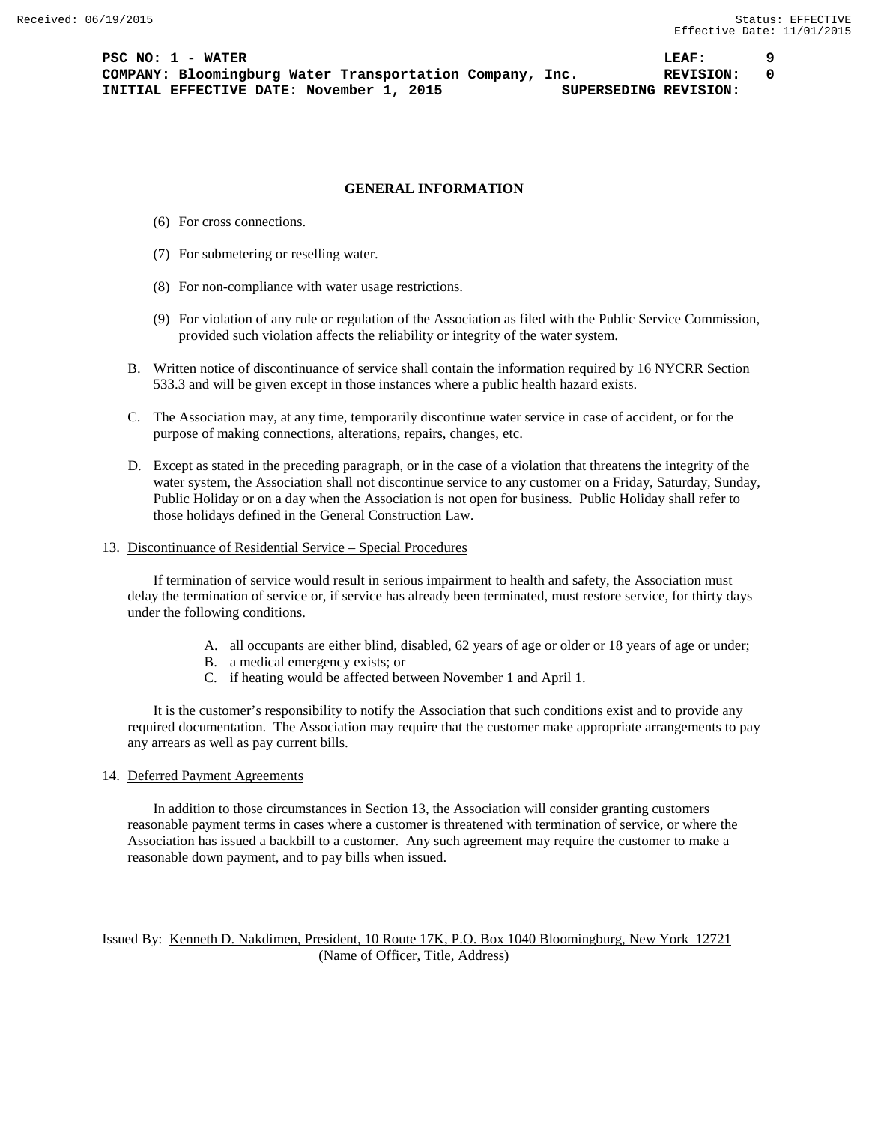## **GENERAL INFORMATION**

- (6) For cross connections.
- (7) For submetering or reselling water.
- (8) For non-compliance with water usage restrictions.
- (9) For violation of any rule or regulation of the Association as filed with the Public Service Commission, provided such violation affects the reliability or integrity of the water system.
- B. Written notice of discontinuance of service shall contain the information required by 16 NYCRR Section 533.3 and will be given except in those instances where a public health hazard exists.
- C. The Association may, at any time, temporarily discontinue water service in case of accident, or for the purpose of making connections, alterations, repairs, changes, etc.
- D. Except as stated in the preceding paragraph, or in the case of a violation that threatens the integrity of the water system, the Association shall not discontinue service to any customer on a Friday, Saturday, Sunday, Public Holiday or on a day when the Association is not open for business. Public Holiday shall refer to those holidays defined in the General Construction Law.

# 13. Discontinuance of Residential Service – Special Procedures

If termination of service would result in serious impairment to health and safety, the Association must delay the termination of service or, if service has already been terminated, must restore service, for thirty days under the following conditions.

- A. all occupants are either blind, disabled, 62 years of age or older or 18 years of age or under;
- B. a medical emergency exists; or
- C. if heating would be affected between November 1 and April 1.

It is the customer's responsibility to notify the Association that such conditions exist and to provide any required documentation. The Association may require that the customer make appropriate arrangements to pay any arrears as well as pay current bills.

## 14. Deferred Payment Agreements

In addition to those circumstances in Section 13, the Association will consider granting customers reasonable payment terms in cases where a customer is threatened with termination of service, or where the Association has issued a backbill to a customer. Any such agreement may require the customer to make a reasonable down payment, and to pay bills when issued.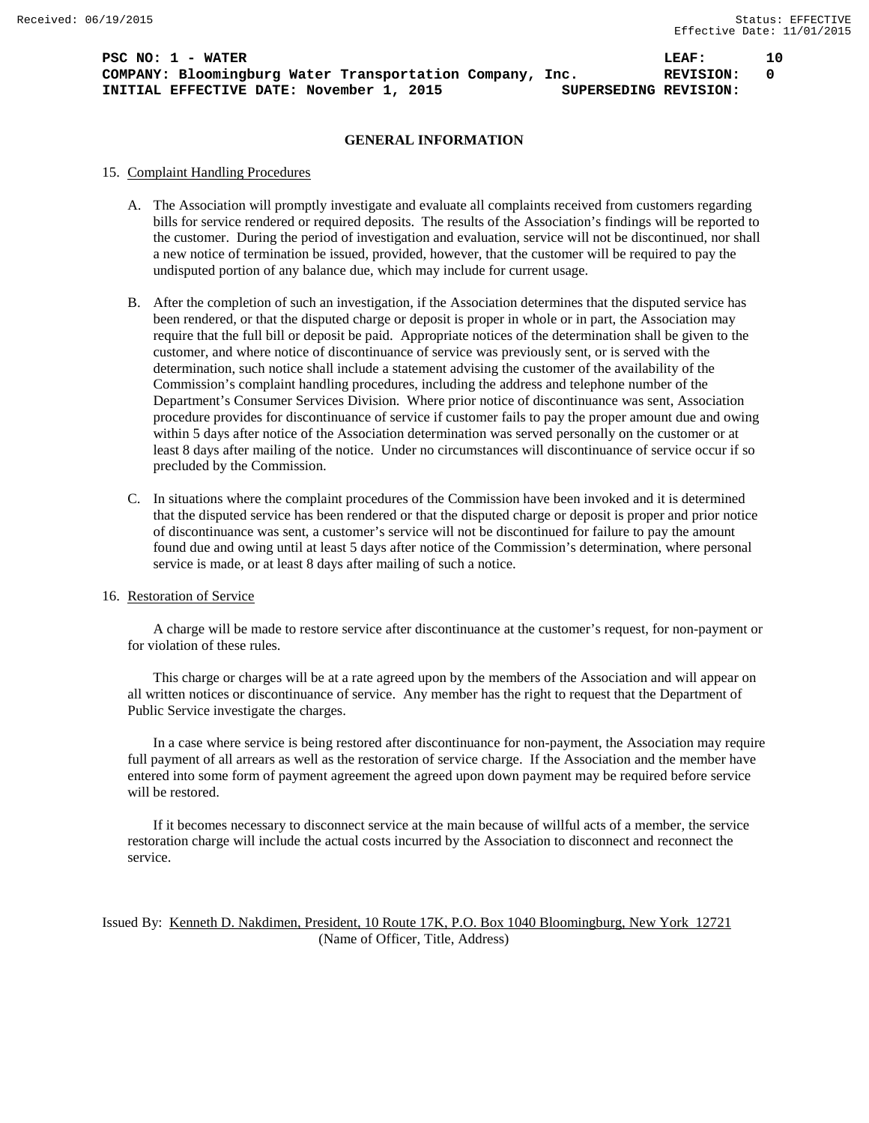**PSC NO: 1 - WATER 10 LEAF: 10 COMPANY: Bloomingburg Water Transportation Company, Inc. REVISION: 0 INITIAL EFFECTIVE DATE: November 1, 2015 SUPERSEDING REVISION:**

# **GENERAL INFORMATION**

## 15. Complaint Handling Procedures

- A. The Association will promptly investigate and evaluate all complaints received from customers regarding bills for service rendered or required deposits. The results of the Association's findings will be reported to the customer. During the period of investigation and evaluation, service will not be discontinued, nor shall a new notice of termination be issued, provided, however, that the customer will be required to pay the undisputed portion of any balance due, which may include for current usage.
- B. After the completion of such an investigation, if the Association determines that the disputed service has been rendered, or that the disputed charge or deposit is proper in whole or in part, the Association may require that the full bill or deposit be paid. Appropriate notices of the determination shall be given to the customer, and where notice of discontinuance of service was previously sent, or is served with the determination, such notice shall include a statement advising the customer of the availability of the Commission's complaint handling procedures, including the address and telephone number of the Department's Consumer Services Division. Where prior notice of discontinuance was sent, Association procedure provides for discontinuance of service if customer fails to pay the proper amount due and owing within 5 days after notice of the Association determination was served personally on the customer or at least 8 days after mailing of the notice. Under no circumstances will discontinuance of service occur if so precluded by the Commission.
- C. In situations where the complaint procedures of the Commission have been invoked and it is determined that the disputed service has been rendered or that the disputed charge or deposit is proper and prior notice of discontinuance was sent, a customer's service will not be discontinued for failure to pay the amount found due and owing until at least 5 days after notice of the Commission's determination, where personal service is made, or at least 8 days after mailing of such a notice.

#### 16. Restoration of Service

A charge will be made to restore service after discontinuance at the customer's request, for non-payment or for violation of these rules.

This charge or charges will be at a rate agreed upon by the members of the Association and will appear on all written notices or discontinuance of service. Any member has the right to request that the Department of Public Service investigate the charges.

In a case where service is being restored after discontinuance for non-payment, the Association may require full payment of all arrears as well as the restoration of service charge. If the Association and the member have entered into some form of payment agreement the agreed upon down payment may be required before service will be restored.

If it becomes necessary to disconnect service at the main because of willful acts of a member, the service restoration charge will include the actual costs incurred by the Association to disconnect and reconnect the service.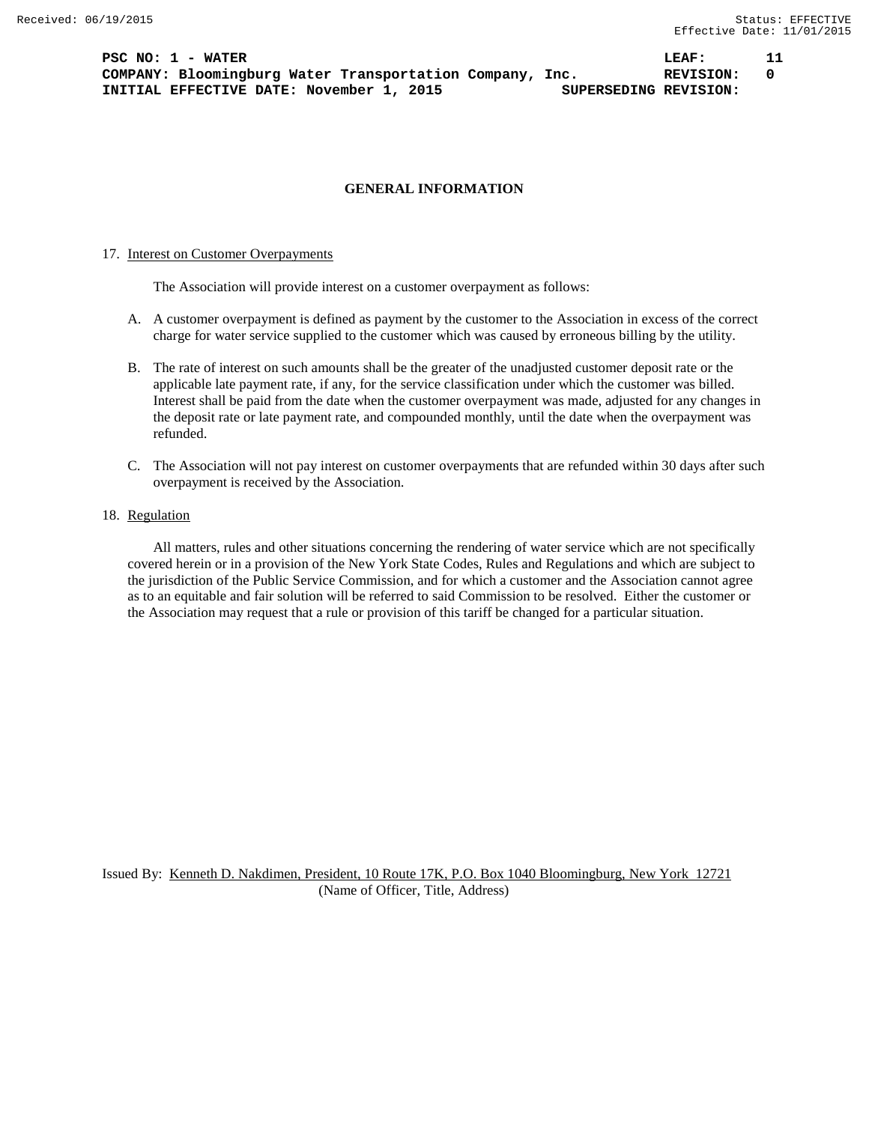**PSC NO: 1 - WATER LEAF: 11 COMPANY: Bloomingburg Water Transportation Company, Inc. REVISION: 0 INITIAL EFFECTIVE DATE: November 1, 2015 SUPERSEDING REVISION:**

# **GENERAL INFORMATION**

### 17. Interest on Customer Overpayments

The Association will provide interest on a customer overpayment as follows:

- A. A customer overpayment is defined as payment by the customer to the Association in excess of the correct charge for water service supplied to the customer which was caused by erroneous billing by the utility.
- B. The rate of interest on such amounts shall be the greater of the unadjusted customer deposit rate or the applicable late payment rate, if any, for the service classification under which the customer was billed. Interest shall be paid from the date when the customer overpayment was made, adjusted for any changes in the deposit rate or late payment rate, and compounded monthly, until the date when the overpayment was refunded.
- C. The Association will not pay interest on customer overpayments that are refunded within 30 days after such overpayment is received by the Association.

# 18. Regulation

All matters, rules and other situations concerning the rendering of water service which are not specifically covered herein or in a provision of the New York State Codes, Rules and Regulations and which are subject to the jurisdiction of the Public Service Commission, and for which a customer and the Association cannot agree as to an equitable and fair solution will be referred to said Commission to be resolved. Either the customer or the Association may request that a rule or provision of this tariff be changed for a particular situation.